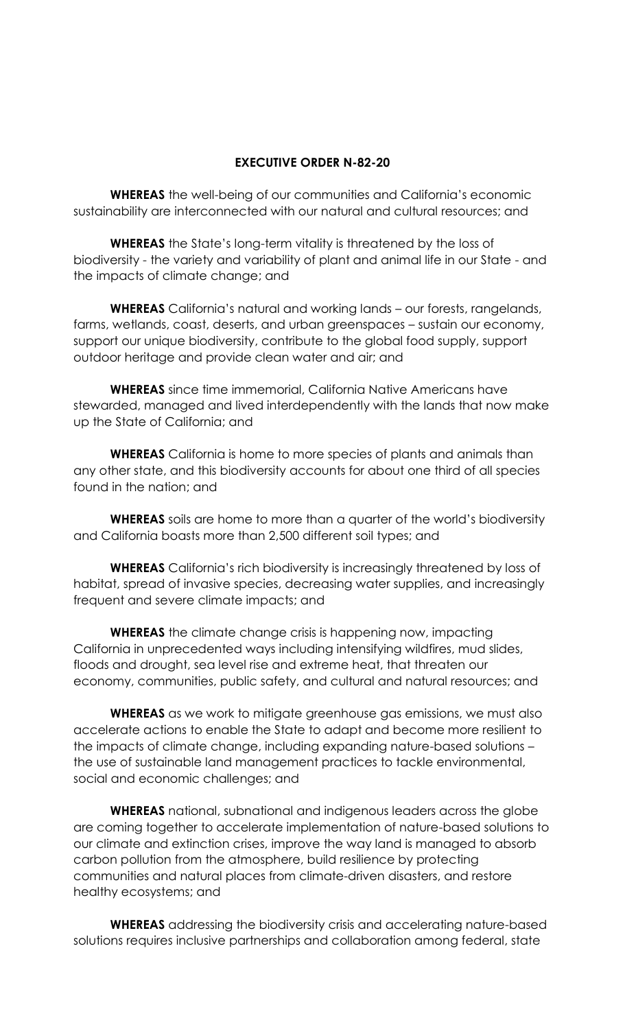## **EXECUTIVE ORDER N-82-20**

**WHEREAS** the well-being of our communities and California's economic sustainability are interconnected with our natural and cultural resources; and

**WHEREAS** the State's long-term vitality is threatened by the loss of biodiversity - the variety and variability of plant and animal life in our State - and the impacts of climate change; and

**WHEREAS** California's natural and working lands – our forests, rangelands, farms, wetlands, coast, deserts, and urban greenspaces – sustain our economy, support our unique biodiversity, contribute to the global food supply, support outdoor heritage and provide clean water and air; and

**WHEREAS** since time immemorial, California Native Americans have stewarded, managed and lived interdependently with the lands that now make up the State of California; and

**WHEREAS** California is home to more species of plants and animals than any other state, and this biodiversity accounts for about one third of all species found in the nation; and

**WHEREAS** soils are home to more than a quarter of the world's biodiversity and California boasts more than 2,500 different soil types; and

**WHEREAS** California's rich biodiversity is increasingly threatened by loss of habitat, spread of invasive species, decreasing water supplies, and increasingly frequent and severe climate impacts; and

**WHEREAS** the climate change crisis is happening now, impacting California in unprecedented ways including intensifying wildfires, mud slides, floods and drought, sea level rise and extreme heat, that threaten our economy, communities, public safety, and cultural and natural resources; and

**WHEREAS** as we work to mitigate greenhouse gas emissions, we must also accelerate actions to enable the State to adapt and become more resilient to the impacts of climate change, including expanding nature-based solutions – the use of sustainable land management practices to tackle environmental, social and economic challenges; and

**WHEREAS** national, subnational and indigenous leaders across the globe are coming together to accelerate implementation of nature-based solutions to our climate and extinction crises, improve the way land is managed to absorb carbon pollution from the atmosphere, build resilience by protecting communities and natural places from climate-driven disasters, and restore healthy ecosystems; and

**WHEREAS** addressing the biodiversity crisis and accelerating nature-based solutions requires inclusive partnerships and collaboration among federal, state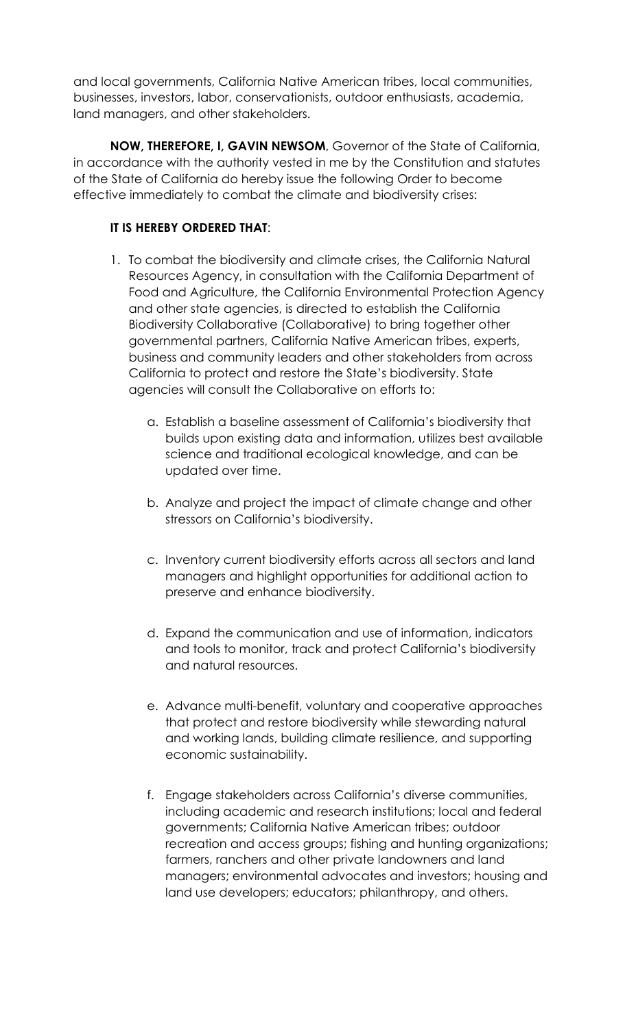and local governments, California Native American tribes, local communities, businesses, investors, labor, conservationists, outdoor enthusiasts, academia, land managers, and other stakeholders.

**NOW, THEREFORE, I, GAVIN NEWSOM**, Governor of the State of California, in accordance with the authority vested in me by the Constitution and statutes of the State of California do hereby issue the following Order to become effective immediately to combat the climate and biodiversity crises:

## **IT IS HEREBY ORDERED THAT**:

- 1. To combat the biodiversity and climate crises, the California Natural Resources Agency, in consultation with the California Department of Food and Agriculture, the California Environmental Protection Agency and other state agencies, is directed to establish the California Biodiversity Collaborative (Collaborative) to bring together other governmental partners, California Native American tribes, experts, business and community leaders and other stakeholders from across California to protect and restore the State's biodiversity. State agencies will consult the Collaborative on efforts to:
	- a. Establish a baseline assessment of California's biodiversity that builds upon existing data and information, utilizes best available science and traditional ecological knowledge, and can be updated over time.
	- b. Analyze and project the impact of climate change and other stressors on California's biodiversity.
	- c. Inventory current biodiversity efforts across all sectors and land managers and highlight opportunities for additional action to preserve and enhance biodiversity.
	- d. Expand the communication and use of information, indicators and tools to monitor, track and protect California's biodiversity and natural resources.
	- e. Advance multi-benefit, voluntary and cooperative approaches that protect and restore biodiversity while stewarding natural and working lands, building climate resilience, and supporting economic sustainability.
	- f. Engage stakeholders across California's diverse communities, including academic and research institutions; local and federal governments; California Native American tribes; outdoor recreation and access groups; fishing and hunting organizations; farmers, ranchers and other private landowners and land managers; environmental advocates and investors; housing and land use developers; educators; philanthropy, and others.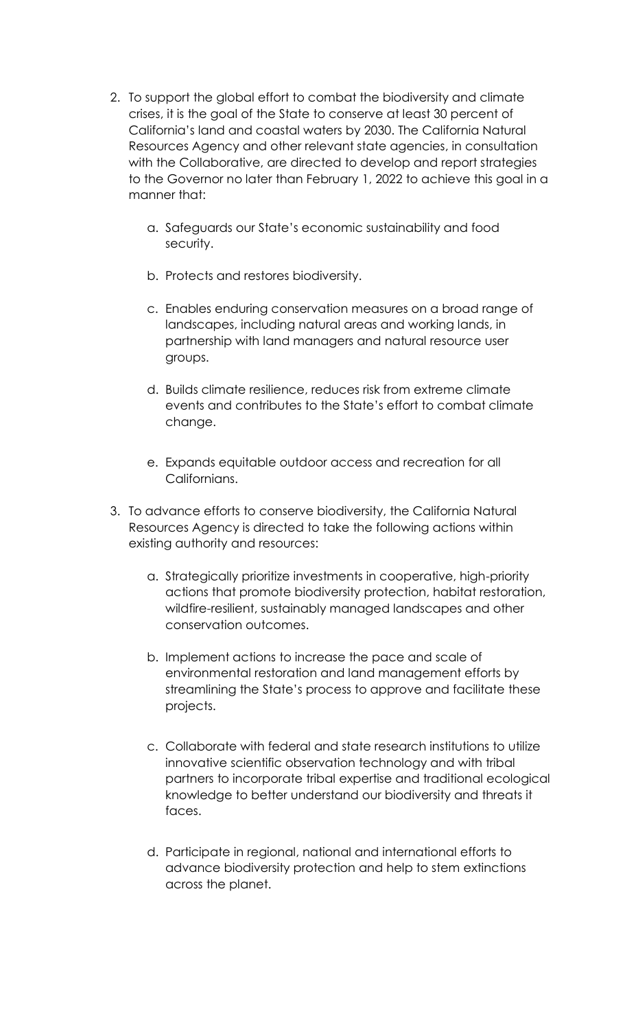- 2. To support the global effort to combat the biodiversity and climate crises, it is the goal of the State to conserve at least 30 percent of California's land and coastal waters by 2030. The California Natural Resources Agency and other relevant state agencies, in consultation with the Collaborative, are directed to develop and report strategies to the Governor no later than February 1, 2022 to achieve this goal in a manner that:
	- a. Safeguards our State's economic sustainability and food security.
	- b. Protects and restores biodiversity.
	- c. Enables enduring conservation measures on a broad range of landscapes, including natural areas and working lands, in partnership with land managers and natural resource user groups.
	- d. Builds climate resilience, reduces risk from extreme climate events and contributes to the State's effort to combat climate change.
	- e. Expands equitable outdoor access and recreation for all Californians.
- 3. To advance efforts to conserve biodiversity, the California Natural Resources Agency is directed to take the following actions within existing authority and resources:
	- a. Strategically prioritize investments in cooperative, high-priority actions that promote biodiversity protection, habitat restoration, wildfire-resilient, sustainably managed landscapes and other conservation outcomes.
	- b. Implement actions to increase the pace and scale of environmental restoration and land management efforts by streamlining the State's process to approve and facilitate these projects.
	- c. Collaborate with federal and state research institutions to utilize innovative scientific observation technology and with tribal partners to incorporate tribal expertise and traditional ecological knowledge to better understand our biodiversity and threats it faces.
	- d. Participate in regional, national and international efforts to advance biodiversity protection and help to stem extinctions across the planet.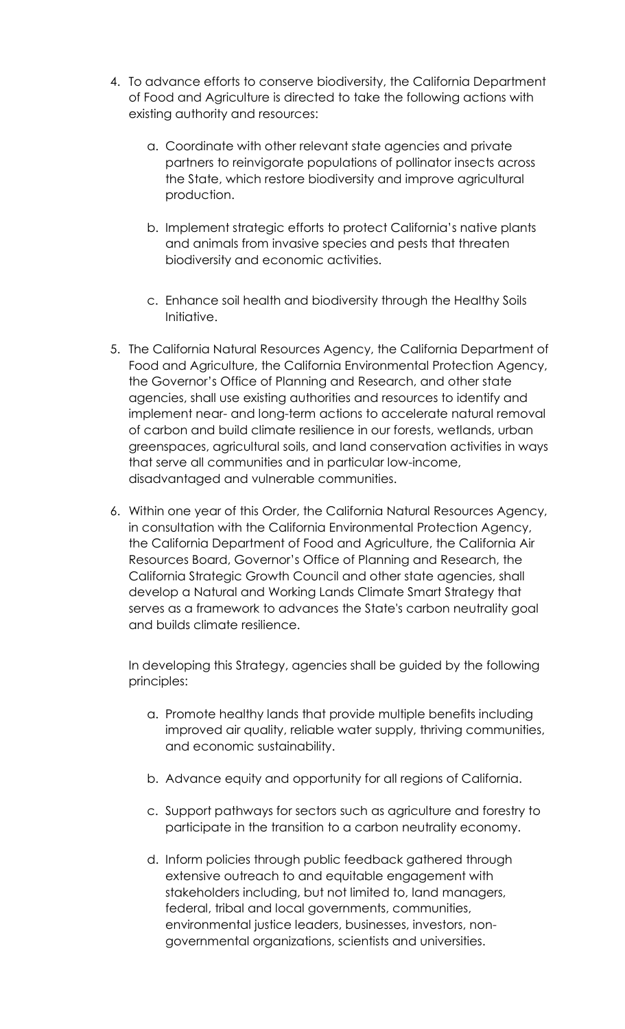- 4. To advance efforts to conserve biodiversity, the California Department of Food and Agriculture is directed to take the following actions with existing authority and resources:
	- a. Coordinate with other relevant state agencies and private partners to reinvigorate populations of pollinator insects across the State, which restore biodiversity and improve agricultural production.
	- b. Implement strategic efforts to protect California's native plants and animals from invasive species and pests that threaten biodiversity and economic activities.
	- c. Enhance soil health and biodiversity through the Healthy Soils Initiative.
- 5. The California Natural Resources Agency, the California Department of Food and Agriculture, the California Environmental Protection Agency, the Governor's Office of Planning and Research, and other state agencies, shall use existing authorities and resources to identify and implement near- and long-term actions to accelerate natural removal of carbon and build climate resilience in our forests, wetlands, urban greenspaces, agricultural soils, and land conservation activities in ways that serve all communities and in particular low-income, disadvantaged and vulnerable communities.
- 6. Within one year of this Order, the California Natural Resources Agency, in consultation with the California Environmental Protection Agency, the California Department of Food and Agriculture, the California Air Resources Board, Governor's Office of Planning and Research, the California Strategic Growth Council and other state agencies, shall develop a Natural and Working Lands Climate Smart Strategy that serves as a framework to advances the State's carbon neutrality goal and builds climate resilience.

In developing this Strategy, agencies shall be guided by the following principles:

- a. Promote healthy lands that provide multiple benefits including improved air quality, reliable water supply, thriving communities, and economic sustainability.
- b. Advance equity and opportunity for all regions of California.
- c. Support pathways for sectors such as agriculture and forestry to participate in the transition to a carbon neutrality economy.
- d. Inform policies through public feedback gathered through extensive outreach to and equitable engagement with stakeholders including, but not limited to, land managers, federal, tribal and local governments, communities, environmental justice leaders, businesses, investors, nongovernmental organizations, scientists and universities.